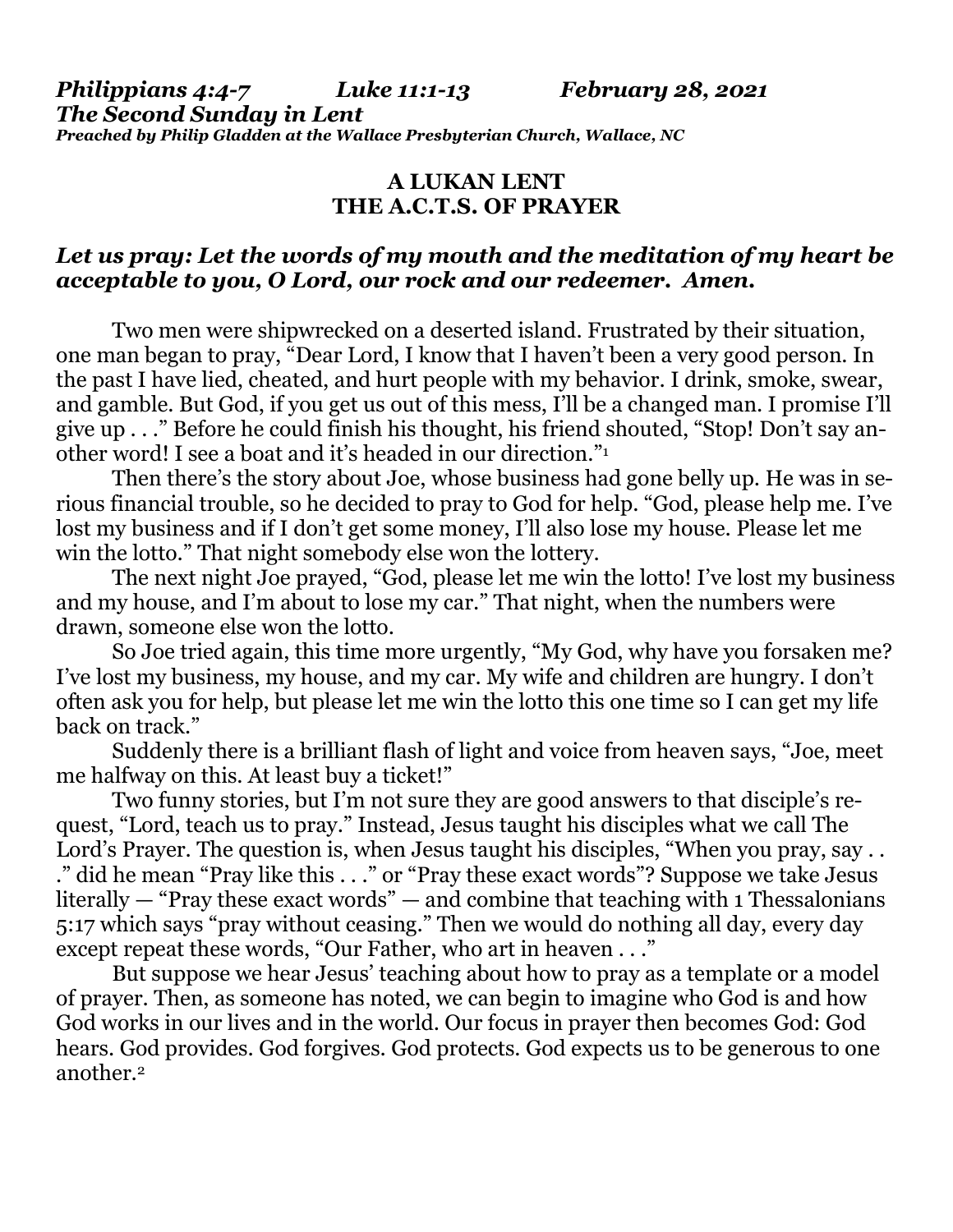*Philippians 4:4-7 Luke 11:1-13 February 28, 2021 The Second Sunday in Lent Preached by Philip Gladden at the Wallace Presbyterian Church, Wallace, NC*

## **A LUKAN LENT THE A.C.T.S. OF PRAYER**

## *Let us pray: Let the words of my mouth and the meditation of my heart be acceptable to you, O Lord, our rock and our redeemer. Amen.*

Two men were shipwrecked on a deserted island. Frustrated by their situation, one man began to pray, "Dear Lord, I know that I haven't been a very good person. In the past I have lied, cheated, and hurt people with my behavior. I drink, smoke, swear, and gamble. But God, if you get us out of this mess, I'll be a changed man. I promise I'll give up . . ." Before he could finish his thought, his friend shouted, "Stop! Don't say another word! I see a boat and it's headed in our direction."<sup>1</sup>

Then there's the story about Joe, whose business had gone belly up. He was in serious financial trouble, so he decided to pray to God for help. "God, please help me. I've lost my business and if I don't get some money, I'll also lose my house. Please let me win the lotto." That night somebody else won the lottery.

The next night Joe prayed, "God, please let me win the lotto! I've lost my business and my house, and I'm about to lose my car." That night, when the numbers were drawn, someone else won the lotto.

So Joe tried again, this time more urgently, "My God, why have you forsaken me? I've lost my business, my house, and my car. My wife and children are hungry. I don't often ask you for help, but please let me win the lotto this one time so I can get my life back on track."

Suddenly there is a brilliant flash of light and voice from heaven says, "Joe, meet me halfway on this. At least buy a ticket!"

Two funny stories, but I'm not sure they are good answers to that disciple's request, "Lord, teach us to pray." Instead, Jesus taught his disciples what we call The Lord's Prayer. The question is, when Jesus taught his disciples, "When you pray, say... ." did he mean "Pray like this . . ." or "Pray these exact words"? Suppose we take Jesus literally — "Pray these exact words" — and combine that teaching with 1 Thessalonians 5:17 which says "pray without ceasing." Then we would do nothing all day, every day except repeat these words, "Our Father, who art in heaven . . ."

But suppose we hear Jesus' teaching about how to pray as a template or a model of prayer. Then, as someone has noted, we can begin to imagine who God is and how God works in our lives and in the world. Our focus in prayer then becomes God: God hears. God provides. God forgives. God protects. God expects us to be generous to one another.2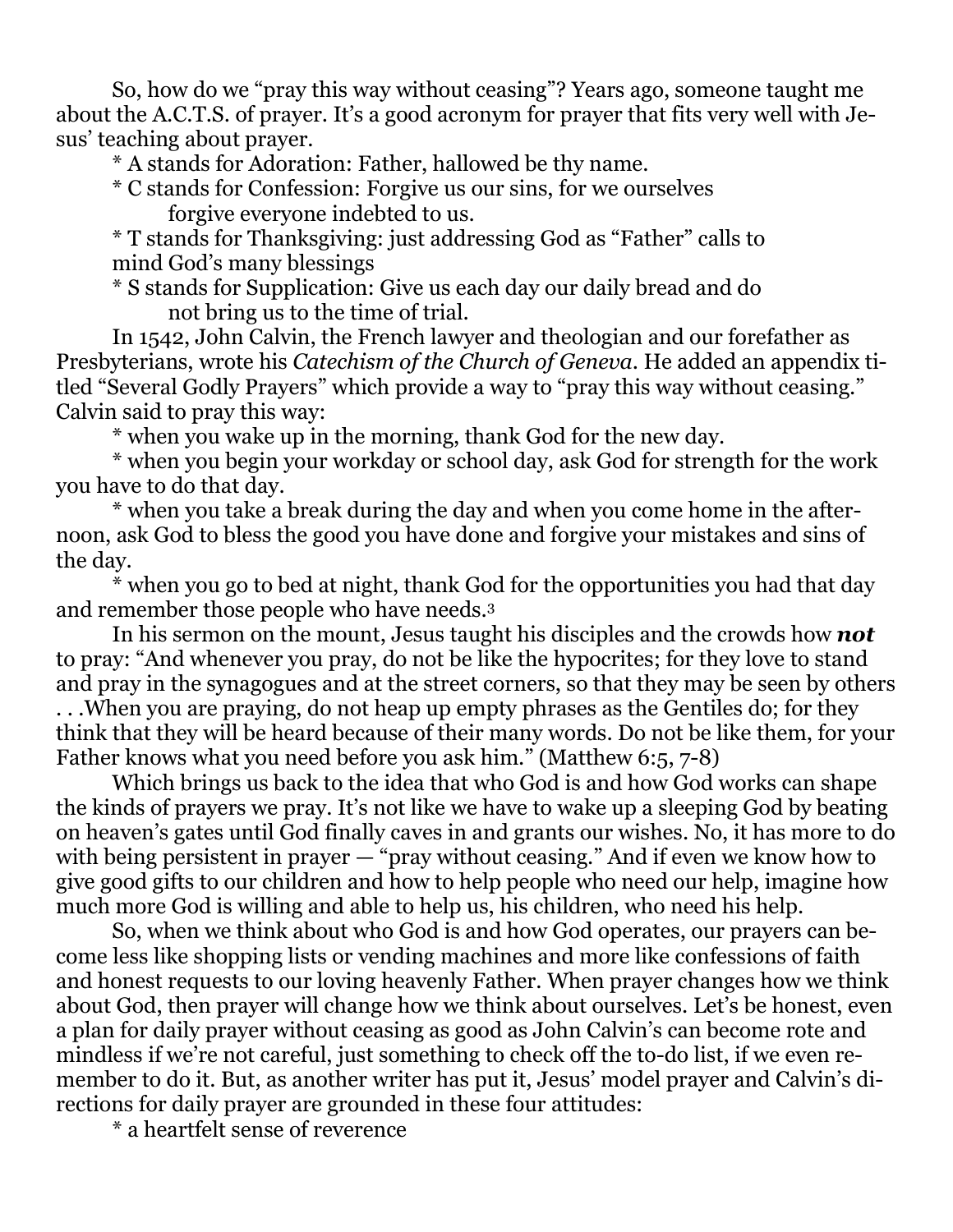So, how do we "pray this way without ceasing"? Years ago, someone taught me about the A.C.T.S. of prayer. It's a good acronym for prayer that fits very well with Jesus' teaching about prayer.

\* A stands for Adoration: Father, hallowed be thy name.

\* C stands for Confession: Forgive us our sins, for we ourselves forgive everyone indebted to us.

\* T stands for Thanksgiving: just addressing God as "Father" calls to mind God's many blessings

\* S stands for Supplication: Give us each day our daily bread and do not bring us to the time of trial.

In 1542, John Calvin, the French lawyer and theologian and our forefather as Presbyterians, wrote his *Catechism of the Church of Geneva*. He added an appendix titled "Several Godly Prayers" which provide a way to "pray this way without ceasing." Calvin said to pray this way:

\* when you wake up in the morning, thank God for the new day.

\* when you begin your workday or school day, ask God for strength for the work you have to do that day.

\* when you take a break during the day and when you come home in the afternoon, ask God to bless the good you have done and forgive your mistakes and sins of the day.

\* when you go to bed at night, thank God for the opportunities you had that day and remember those people who have needs.<sup>3</sup>

In his sermon on the mount, Jesus taught his disciples and the crowds how *not* to pray: "And whenever you pray, do not be like the hypocrites; for they love to stand and pray in the synagogues and at the street corners, so that they may be seen by others . . .When you are praying, do not heap up empty phrases as the Gentiles do; for they think that they will be heard because of their many words. Do not be like them, for your Father knows what you need before you ask him." (Matthew 6:5, 7-8)

Which brings us back to the idea that who God is and how God works can shape the kinds of prayers we pray. It's not like we have to wake up a sleeping God by beating on heaven's gates until God finally caves in and grants our wishes. No, it has more to do with being persistent in prayer — "pray without ceasing." And if even we know how to give good gifts to our children and how to help people who need our help, imagine how much more God is willing and able to help us, his children, who need his help.

So, when we think about who God is and how God operates, our prayers can become less like shopping lists or vending machines and more like confessions of faith and honest requests to our loving heavenly Father. When prayer changes how we think about God, then prayer will change how we think about ourselves. Let's be honest, even a plan for daily prayer without ceasing as good as John Calvin's can become rote and mindless if we're not careful, just something to check off the to-do list, if we even remember to do it. But, as another writer has put it, Jesus' model prayer and Calvin's directions for daily prayer are grounded in these four attitudes:

\* a heartfelt sense of reverence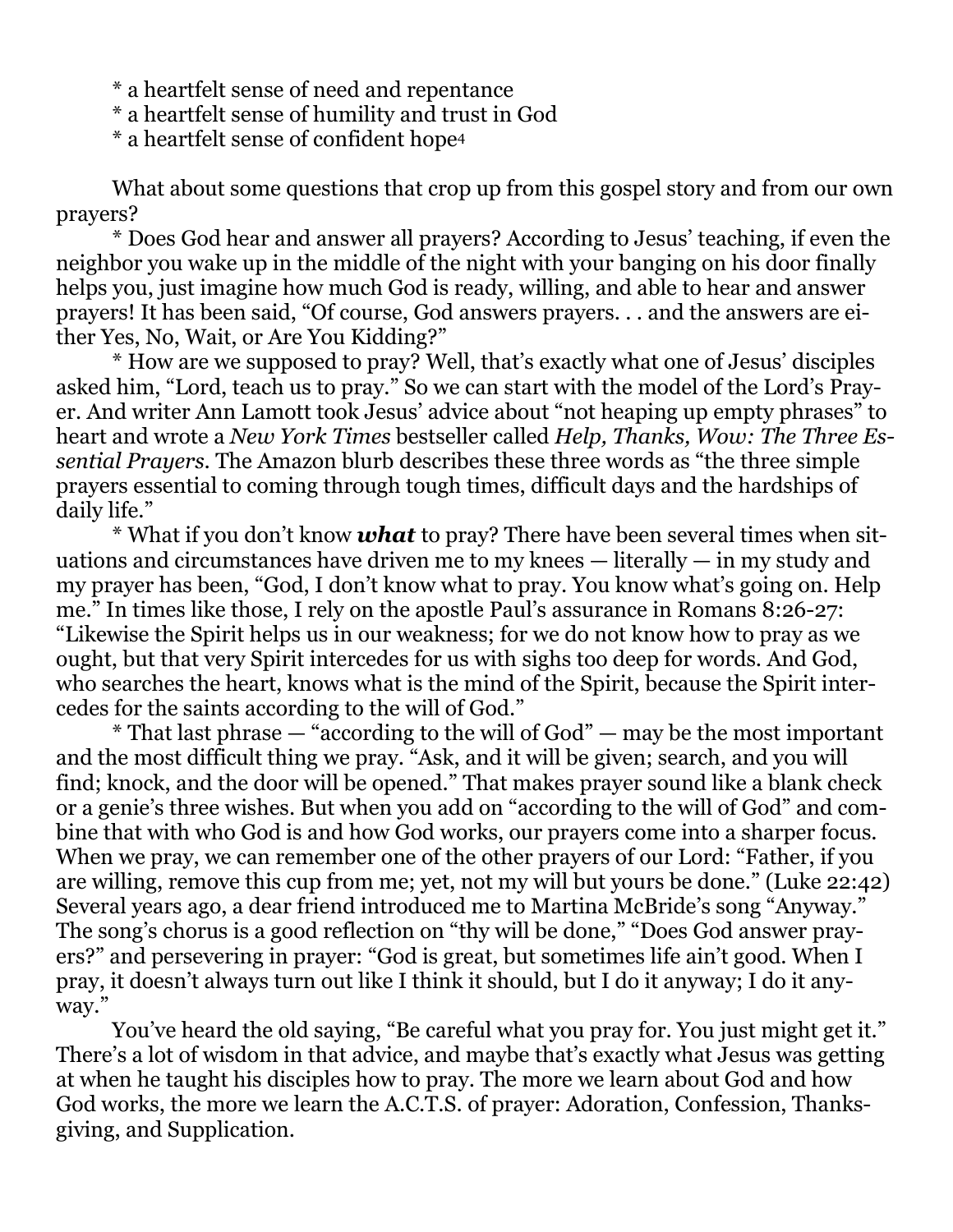\* a heartfelt sense of need and repentance

\* a heartfelt sense of humility and trust in God

\* a heartfelt sense of confident hope<sup>4</sup>

What about some questions that crop up from this gospel story and from our own prayers?

\* Does God hear and answer all prayers? According to Jesus' teaching, if even the neighbor you wake up in the middle of the night with your banging on his door finally helps you, just imagine how much God is ready, willing, and able to hear and answer prayers! It has been said, "Of course, God answers prayers. . . and the answers are either Yes, No, Wait, or Are You Kidding?"

\* How are we supposed to pray? Well, that's exactly what one of Jesus' disciples asked him, "Lord, teach us to pray." So we can start with the model of the Lord's Prayer. And writer Ann Lamott took Jesus' advice about "not heaping up empty phrases" to heart and wrote a *New York Times* bestseller called *Help, Thanks, Wow: The Three Essential Prayers*. The Amazon blurb describes these three words as "the three simple prayers essential to coming through tough times, difficult days and the hardships of daily life."

\* What if you don't know *what* to pray? There have been several times when situations and circumstances have driven me to my knees — literally — in my study and my prayer has been, "God, I don't know what to pray. You know what's going on. Help me." In times like those, I rely on the apostle Paul's assurance in Romans 8:26-27: "Likewise the Spirit helps us in our weakness; for we do not know how to pray as we ought, but that very Spirit intercedes for us with sighs too deep for words. And God, who searches the heart, knows what is the mind of the Spirit, because the Spirit intercedes for the saints according to the will of God."

 $*$  That last phrase  $-$  "according to the will of God"  $-$  may be the most important and the most difficult thing we pray. "Ask, and it will be given; search, and you will find; knock, and the door will be opened." That makes prayer sound like a blank check or a genie's three wishes. But when you add on "according to the will of God" and combine that with who God is and how God works, our prayers come into a sharper focus. When we pray, we can remember one of the other prayers of our Lord: "Father, if you are willing, remove this cup from me; yet, not my will but yours be done." (Luke 22:42) Several years ago, a dear friend introduced me to Martina McBride's song "Anyway." The song's chorus is a good reflection on "thy will be done," "Does God answer prayers?" and persevering in prayer: "God is great, but sometimes life ain't good. When I pray, it doesn't always turn out like I think it should, but I do it anyway; I do it anyway."

You've heard the old saying, "Be careful what you pray for. You just might get it." There's a lot of wisdom in that advice, and maybe that's exactly what Jesus was getting at when he taught his disciples how to pray. The more we learn about God and how God works, the more we learn the A.C.T.S. of prayer: Adoration, Confession, Thanksgiving, and Supplication.